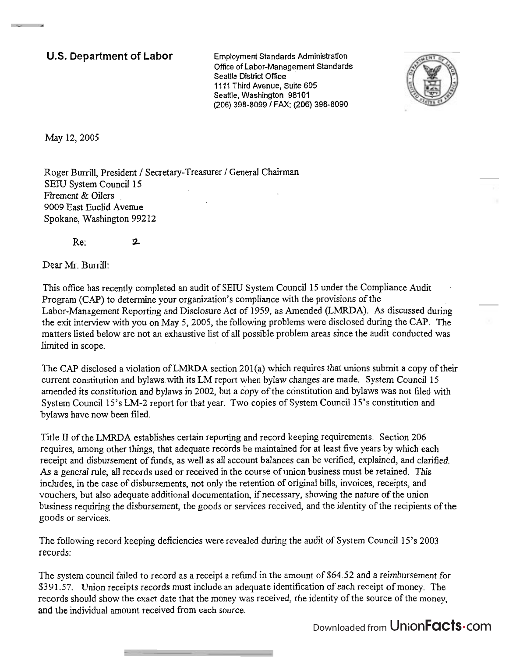**U.S. Department of Labor** Employment Standards Administration Ofice of Labor-Management Standards Seattle District **Office**  1111 Third Avenue, Suite 605 Seattle, Washington 98101 (206) 398-8099 **1** FAX: (206) 398-8090



May 12, 2005

**Contact of Contact Contact of Con-**

Roger Burrill, President / Secretary-Treasurer / General Chairman SElU System Council 15 Firement & Oilers 9009 East Euclid Avenue Spokane, Washington 99212

Re: **?L** 

Dear Mr. Burrill:

This office has recently completed an audit of SEW System Council 15 under the Compliance Audit Program (CAP) to determine your organization's compliance with the provisions of the Labor-Management Reporting and Disclosure Act of 1959, as Amended (LMRDA). **As** discussed during the exit interview with you on May 5,2005, the following problems were disclosed during the CAP. The matters listed below are not an exhaustive list of all possible problem areas since the audit conducted was limited in scope.

The CAP disclosed a violation of LMRDA section 201(a) which requires that unions submit a copy of their current constitution and bylawswith its LM report when bylaw changes are made. System Council **15**  amended its constitution and bylaws in 2002, but a copy of the constitution and bylaws was not filed with System Council 15's LM-2 report for that year. Two copies of System Council 15's constitution and bylaws have now been filed.

Title **II** of the LMRDA establishes certain reporting and record keeping requirements. Section 206 requires, among other things, that adequate records be maintained for at least five years by which each receipt and disbursement of hnds, as well as all account balances can be verified, explained, and clarified. *As* a general rule, all records used or received in the course of union business must be retained. This includes, in the case of disbursements, not only the retention of original bills, invoices, receipts, and vouchers, but also adequate additional documentation, if necessary, showing the nature of the union business requiring the disbursement, the goods or services received, and the identity of the recipients of the goods or services.

The following record keeping deficiencies were revealed during the audit of System Council 15's 2003 records:

The system council failed to record as a receipt a refind in the amount of \$64.52 and a reimbursement for \$391.57. Union receipts records must include an adequate identification of each receipt of money. The records should show the exact date that the money was received, the identity of the source of the money, and the individual amount received from each source.

Downloaded from UnionFacts.com